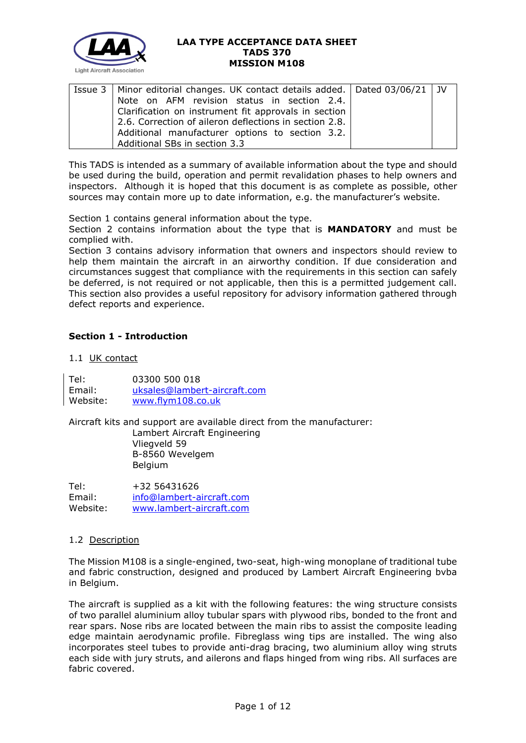

| Issue 3   Minor editorial changes. UK contact details added.   Dated 03/06/21   JV |  |
|------------------------------------------------------------------------------------|--|
| Note on AFM revision status in section 2.4.                                        |  |
| Clarification on instrument fit approvals in section                               |  |
| 2.6. Correction of aileron deflections in section 2.8.                             |  |
| Additional manufacturer options to section 3.2.                                    |  |
| Additional SBs in section 3.3                                                      |  |

This TADS is intended as a summary of available information about the type and should be used during the build, operation and permit revalidation phases to help owners and inspectors. Although it is hoped that this document is as complete as possible, other sources may contain more up to date information, e.g. the manufacturer's website.

Section 1 contains general information about the type.

Section 2 contains information about the type that is **MANDATORY** and must be complied with.

Section 3 contains advisory information that owners and inspectors should review to help them maintain the aircraft in an airworthy condition. If due consideration and circumstances suggest that compliance with the requirements in this section can safely be deferred, is not required or not applicable, then this is a permitted judgement call. This section also provides a useful repository for advisory information gathered through defect reports and experience.

# **Section 1 - Introduction**

# 1.1 UK contact

Tel: 03300 500 018 Email: [uksales@lambert-aircraft.com](mailto:uksales@lambert-aircraft.com) Website: [www.flym108.co.uk](http://www.flym108.co.uk/)

Aircraft kits and support are available direct from the manufacturer:

Lambert Aircraft Engineering Vliegveld 59 B-8560 Wevelgem Belgium

| Tel:     | +32 56431626              |
|----------|---------------------------|
| Email:   | info@lambert-aircraft.com |
| Website: | www.lambert-aircraft.com  |

## 1.2 Description

The Mission M108 is a single-engined, two-seat, high-wing monoplane of traditional tube and fabric construction, designed and produced by Lambert Aircraft Engineering bvba in Belgium.

The aircraft is supplied as a kit with the following features: the wing structure consists of two parallel aluminium alloy tubular spars with plywood ribs, bonded to the front and rear spars. Nose ribs are located between the main ribs to assist the composite leading edge maintain aerodynamic profile. Fibreglass wing tips are installed. The wing also incorporates steel tubes to provide anti-drag bracing, two aluminium alloy wing struts each side with jury struts, and ailerons and flaps hinged from wing ribs. All surfaces are fabric covered.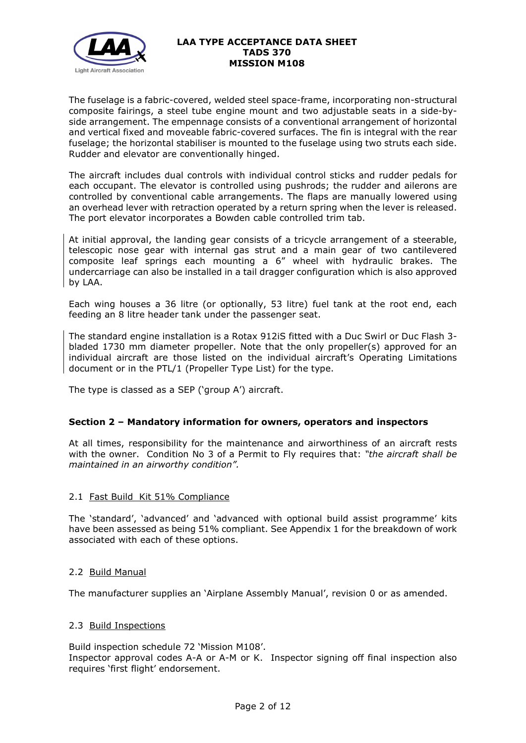

The fuselage is a fabric-covered, welded steel space-frame, incorporating non-structural composite fairings, a steel tube engine mount and two adjustable seats in a side-byside arrangement. The empennage consists of a conventional arrangement of horizontal and vertical fixed and moveable fabric-covered surfaces. The fin is integral with the rear fuselage; the horizontal stabiliser is mounted to the fuselage using two struts each side. Rudder and elevator are conventionally hinged.

The aircraft includes dual controls with individual control sticks and rudder pedals for each occupant. The elevator is controlled using pushrods; the rudder and ailerons are controlled by conventional cable arrangements. The flaps are manually lowered using an overhead lever with retraction operated by a return spring when the lever is released. The port elevator incorporates a Bowden cable controlled trim tab.

At initial approval, the landing gear consists of a tricycle arrangement of a steerable, telescopic nose gear with internal gas strut and a main gear of two cantilevered composite leaf springs each mounting a 6" wheel with hydraulic brakes. The undercarriage can also be installed in a tail dragger configuration which is also approved by LAA.

Each wing houses a 36 litre (or optionally, 53 litre) fuel tank at the root end, each feeding an 8 litre header tank under the passenger seat.

The standard engine installation is a Rotax 912iS fitted with a Duc Swirl or Duc Flash 3 bladed 1730 mm diameter propeller. Note that the only propeller(s) approved for an individual aircraft are those listed on the individual aircraft's Operating Limitations document or in the PTL/1 (Propeller Type List) for the type.

The type is classed as a SEP ('group A') aircraft.

## **Section 2 – Mandatory information for owners, operators and inspectors**

At all times, responsibility for the maintenance and airworthiness of an aircraft rests with the owner. Condition No 3 of a Permit to Fly requires that: *"the aircraft shall be maintained in an airworthy condition".* 

## 2.1 Fast Build Kit 51% Compliance

The 'standard', 'advanced' and 'advanced with optional build assist programme' kits have been assessed as being 51% compliant. See Appendix 1 for the breakdown of work associated with each of these options.

## 2.2 Build Manual

The manufacturer supplies an 'Airplane Assembly Manual', revision 0 or as amended.

#### 2.3 Build Inspections

Build inspection schedule 72 'Mission M108'. Inspector approval codes A-A or A-M or K. Inspector signing off final inspection also requires 'first flight' endorsement.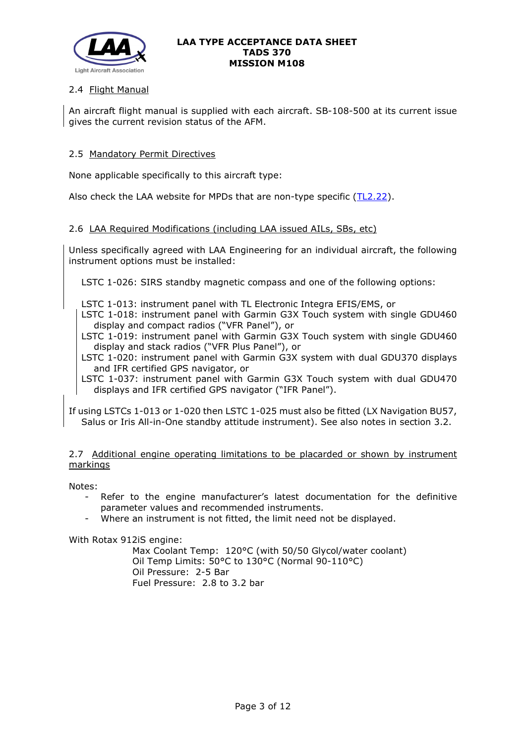

# 2.4 Flight Manual

An aircraft flight manual is supplied with each aircraft. SB-108-500 at its current issue gives the current revision status of the AFM.

## 2.5 Mandatory Permit Directives

None applicable specifically to this aircraft type:

Also check the LAA website for MPDs that are non-type specific [\(TL2.22\)](http://www.lightaircraftassociation.co.uk/engineering/TechnicalLeaflets/Operating%20An%20Aircraft/TL%202.22%20non-type%20specific%20MPDs.pdf).

## 2.6 LAA Required Modifications (including LAA issued AILs, SBs, etc)

Unless specifically agreed with LAA Engineering for an individual aircraft, the following instrument options must be installed:

LSTC 1-026: SIRS standby magnetic compass and one of the following options:

- LSTC 1-013: instrument panel with TL Electronic Integra EFIS/EMS, or
- LSTC 1-018: instrument panel with Garmin G3X Touch system with single GDU460 display and compact radios ("VFR Panel"), or
- LSTC 1-019: instrument panel with Garmin G3X Touch system with single GDU460 display and stack radios ("VFR Plus Panel"), or
- LSTC 1-020: instrument panel with Garmin G3X system with dual GDU370 displays and IFR certified GPS navigator, or
- LSTC 1-037: instrument panel with Garmin G3X Touch system with dual GDU470 displays and IFR certified GPS navigator ("IFR Panel").

If using LSTCs 1-013 or 1-020 then LSTC 1-025 must also be fitted (LX Navigation BU57, Salus or Iris All-in-One standby attitude instrument). See also notes in section 3.2.

## 2.7 Additional engine operating limitations to be placarded or shown by instrument markings

Notes:

- Refer to the engine manufacturer's latest documentation for the definitive parameter values and recommended instruments.
- Where an instrument is not fitted, the limit need not be displayed.

With Rotax 912iS engine:

Max Coolant Temp: 120°C (with 50/50 Glycol/water coolant) Oil Temp Limits: 50°C to 130°C (Normal 90-110°C) Oil Pressure: 2-5 Bar Fuel Pressure: 2.8 to 3.2 bar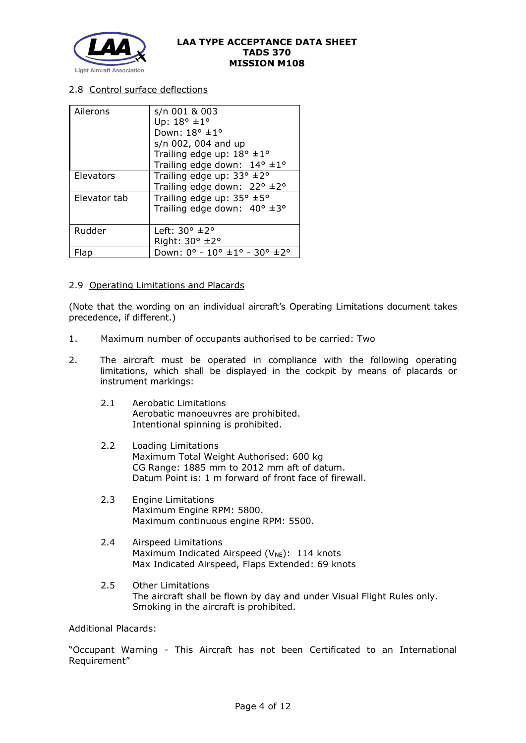

## 2.8 Control surface deflections

| Ailerons     | s/n 001 & 003                                  |  |  |  |  |
|--------------|------------------------------------------------|--|--|--|--|
|              | Up: $18^{\circ}$ ± $1^{\circ}$                 |  |  |  |  |
|              | Down: 18° ±1°                                  |  |  |  |  |
|              | s/n 002, 004 and up                            |  |  |  |  |
|              | Trailing edge up: $18^{\circ}$ ± $1^{\circ}$   |  |  |  |  |
|              | Trailing edge down: $14^{\circ} \pm 1^{\circ}$ |  |  |  |  |
| Elevators    | Trailing edge up: $33^\circ \pm 2^\circ$       |  |  |  |  |
|              | Trailing edge down: 22° ±2°                    |  |  |  |  |
| Elevator tab | Trailing edge up: $35^{\circ}$ ±5°             |  |  |  |  |
|              | Trailing edge down: $40^{\circ}$ ±3°           |  |  |  |  |
|              |                                                |  |  |  |  |
| Rudder       | Left: $30^{\circ}$ $\pm 2^{\circ}$             |  |  |  |  |
|              | Right: 30° ±2°                                 |  |  |  |  |
| Flab         | Down: 0° - 10° ±1° - 30° ±2°                   |  |  |  |  |

# 2.9 Operating Limitations and Placards

(Note that the wording on an individual aircraft's Operating Limitations document takes precedence, if different.)

- 1. Maximum number of occupants authorised to be carried: Two
- 2. The aircraft must be operated in compliance with the following operating limitations, which shall be displayed in the cockpit by means of placards or instrument markings:
	- 2.1 Aerobatic Limitations Aerobatic manoeuvres are prohibited. Intentional spinning is prohibited.
	- 2.2 Loading Limitations Maximum Total Weight Authorised: 600 kg CG Range: 1885 mm to 2012 mm aft of datum. Datum Point is: 1 m forward of front face of firewall.
	- 2.3 Engine Limitations Maximum Engine RPM: 5800. Maximum continuous engine RPM: 5500.
	- 2.4 Airspeed Limitations Maximum Indicated Airspeed ( $V_{NE}$ ): 114 knots Max Indicated Airspeed, Flaps Extended: 69 knots
	- 2.5 Other Limitations The aircraft shall be flown by day and under Visual Flight Rules only. Smoking in the aircraft is prohibited.

Additional Placards:

"Occupant Warning - This Aircraft has not been Certificated to an International Requirement"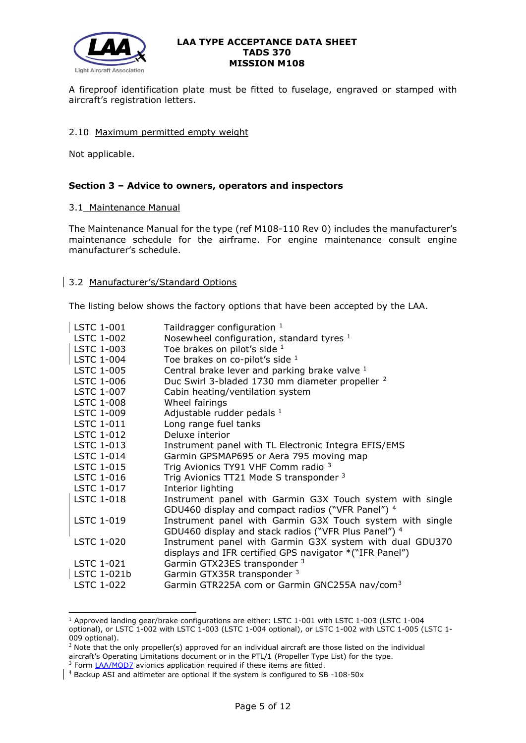

A fireproof identification plate must be fitted to fuselage, engraved or stamped with aircraft's registration letters.

## 2.10 Maximum permitted empty weight

Not applicable.

## **Section 3 – Advice to owners, operators and inspectors**

#### 3.1 Maintenance Manual

The Maintenance Manual for the type (ref M108-110 Rev 0) includes the manufacturer's maintenance schedule for the airframe. For engine maintenance consult engine manufacturer's schedule.

## 3.2 Manufacturer's/Standard Options

The listing below shows the factory options that have been accepted by the LAA.

<span id="page-4-0"></span>

| <b>LSTC 1-001</b> | Taildragger configuration $1$                                                                                       |
|-------------------|---------------------------------------------------------------------------------------------------------------------|
| <b>LSTC 1-002</b> | Nosewheel configuration, standard tyres 1                                                                           |
| <b>LSTC 1-003</b> | Toe brakes on pilot's side $1$                                                                                      |
| <b>LSTC 1-004</b> | Toe brakes on co-pilot's side 1                                                                                     |
| LSTC 1-005        | Central brake lever and parking brake valve 1                                                                       |
| <b>LSTC 1-006</b> | Duc Swirl 3-bladed 1730 mm diameter propeller <sup>2</sup>                                                          |
| LSTC 1-007        | Cabin heating/ventilation system                                                                                    |
| <b>LSTC 1-008</b> | Wheel fairings                                                                                                      |
| LSTC 1-009        | Adjustable rudder pedals 1                                                                                          |
| <b>LSTC 1-011</b> | Long range fuel tanks                                                                                               |
| LSTC 1-012        | Deluxe interior                                                                                                     |
| LSTC 1-013        | Instrument panel with TL Electronic Integra EFIS/EMS                                                                |
| <b>LSTC 1-014</b> | Garmin GPSMAP695 or Aera 795 moving map                                                                             |
| LSTC 1-015        | Trig Avionics TY91 VHF Comm radio 3                                                                                 |
| <b>LSTC 1-016</b> | Trig Avionics TT21 Mode S transponder 3                                                                             |
| LSTC 1-017        | Interior lighting                                                                                                   |
| <b>LSTC 1-018</b> | Instrument panel with Garmin G3X Touch system with single<br>GDU460 display and compact radios ("VFR Panel") 4      |
| <b>LSTC 1-019</b> | Instrument panel with Garmin G3X Touch system with single<br>GDU460 display and stack radios ("VFR Plus Panel") 4   |
| <b>LSTC 1-020</b> | Instrument panel with Garmin G3X system with dual GDU370<br>displays and IFR certified GPS navigator *("IFR Panel") |
| LSTC 1-021        | Garmin GTX23ES transponder 3                                                                                        |
| LSTC 1-021b       | Garmin GTX35R transponder 3                                                                                         |
| <b>LSTC 1-022</b> | Garmin GTR225A com or Garmin GNC255A nav/com <sup>3</sup>                                                           |
|                   |                                                                                                                     |

<span id="page-4-2"></span><span id="page-4-1"></span><sup>1</sup> Approved landing gear/brake configurations are either: LSTC 1-001 with LSTC 1-003 (LSTC 1-004 optional), or LSTC 1-002 with LSTC 1-003 (LSTC 1-004 optional), or LSTC 1-002 with LSTC 1-005 (LSTC 1- 009 optional).

<span id="page-4-3"></span> $2$  Note that the only propeller(s) approved for an individual aircraft are those listed on the individual aircraft's Operating Limitations document or in the PTL/1 (Propeller Type List) for the type. <sup>3</sup> Form [LAA/MOD7](http://www.lightaircraftassociation.co.uk/engineering/StandardForms/LAA-MOD%207%20%20Avionics%20Installation.pdf) avionics application required if these items are fitted.

<span id="page-4-5"></span><span id="page-4-4"></span><sup>4</sup> Backup ASI and altimeter are optional if the system is configured to SB -108-50x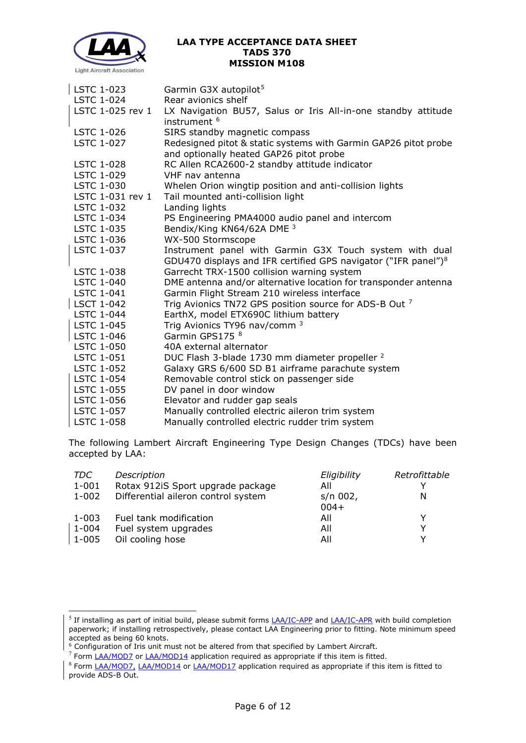

| LSTC 1-023        | Garmin G3X autopilot <sup>5</sup>                                                                          |
|-------------------|------------------------------------------------------------------------------------------------------------|
| <b>LSTC 1-024</b> | Rear avionics shelf                                                                                        |
| LSTC 1-025 rev 1  | LX Navigation BU57, Salus or Iris All-in-one standby attitude<br>instrument <sup>6</sup>                   |
| <b>LSTC 1-026</b> | SIRS standby magnetic compass                                                                              |
| <b>LSTC 1-027</b> | Redesigned pitot & static systems with Garmin GAP26 pitot probe<br>and optionally heated GAP26 pitot probe |
| <b>LSTC 1-028</b> | RC Allen RCA2600-2 standby attitude indicator                                                              |
| <b>LSTC 1-029</b> | VHF nav antenna                                                                                            |
| <b>LSTC 1-030</b> | Whelen Orion wingtip position and anti-collision lights                                                    |
| LSTC 1-031 rev 1  | Tail mounted anti-collision light                                                                          |
| <b>LSTC 1-032</b> | Landing lights                                                                                             |
| LSTC 1-034        | PS Engineering PMA4000 audio panel and intercom                                                            |
| LSTC 1-035        | Bendix/King KN64/62A DME 3                                                                                 |
| LSTC 1-036        | WX-500 Stormscope                                                                                          |
| LSTC 1-037        | Instrument panel with Garmin G3X Touch system with dual                                                    |
|                   | GDU470 displays and IFR certified GPS navigator ("IFR panel") <sup>8</sup>                                 |
| LSTC 1-038        | Garrecht TRX-1500 collision warning system                                                                 |
| <b>LSTC 1-040</b> | DME antenna and/or alternative location for transponder antenna                                            |
| <b>LSTC 1-041</b> | Garmin Flight Stream 210 wireless interface                                                                |
| LSCT 1-042        | Trig Avionics TN72 GPS position source for ADS-B Out 7                                                     |
| <b>LSTC 1-044</b> | EarthX, model ETX690C lithium battery                                                                      |
| LSTC 1-045        | Trig Avionics TY96 nav/comm <sup>3</sup>                                                                   |
| LSTC 1-046        | Garmin GPS175 <sup>8</sup>                                                                                 |
| <b>LSTC 1-050</b> | 40A external alternator                                                                                    |
| <b>LSTC 1-051</b> | DUC Flash 3-blade 1730 mm diameter propeller <sup>2</sup>                                                  |
| LSTC 1-052        | Galaxy GRS 6/600 SD B1 airframe parachute system                                                           |
| LSTC 1-054        | Removable control stick on passenger side                                                                  |
| LSTC 1-055        | DV panel in door window                                                                                    |
| LSTC 1-056        | Elevator and rudder gap seals                                                                              |
| <b>LSTC 1-057</b> | Manually controlled electric aileron trim system                                                           |
| <b>LSTC 1-058</b> | Manually controlled electric rudder trim system                                                            |

<span id="page-5-0"></span>The following Lambert Aircraft Engineering Type Design Changes (TDCs) have been accepted by LAA:

| Description                         | Eligibility | Retrofittable |
|-------------------------------------|-------------|---------------|
| Rotax 912iS Sport upgrade package   | All         |               |
| Differential aileron control system | s/n 002,    | N             |
|                                     | $004+$      |               |
| Fuel tank modification              | All         | v             |
| Fuel system upgrades                | All         | v             |
| Oil cooling hose                    | All         | v             |
|                                     |             |               |

<span id="page-5-1"></span><sup>&</sup>lt;sup>5</sup> If installing as part of initial build, please submit forms *LAA/IC-APP* and *LAA/IC-APR* with build completion paperwork; if installing retrospectively, please contact LAA Engineering prior to fitting. Note minimum speed accepted as being 60 knots.

 $6$  Configuration of Iris unit must not be altered from that specified by Lambert Aircraft.

<span id="page-5-2"></span> $<sup>7</sup>$  Form [LAA/MOD7](http://www.lightaircraftassociation.co.uk/engineering/StandardForms/LAA-MOD%207%20%20Avionics%20Installation.pdf) or [LAA/MOD14](http://www.lightaircraftassociation.co.uk/engineering/StandardForms/LAA-MOD%2014%20-%20ADS-B.pdf) application required as appropriate if this item is fitted.</sup>

<span id="page-5-4"></span><span id="page-5-3"></span><sup>8</sup> Form **LAA/MOD7, [LAA/MOD14](http://www.lightaircraftassociation.co.uk/engineering/StandardForms/LAA-MOD%2014%20-%20ADS-B.pdf) or [LAA/MOD17](http://www.lightaircraftassociation.co.uk/engineering/StandardForms/LAA-MOD%2017%20-%20Certified%20ADS-B%20Out.pdf)** application required as appropriate if this item is fitted to provide ADS-B Out.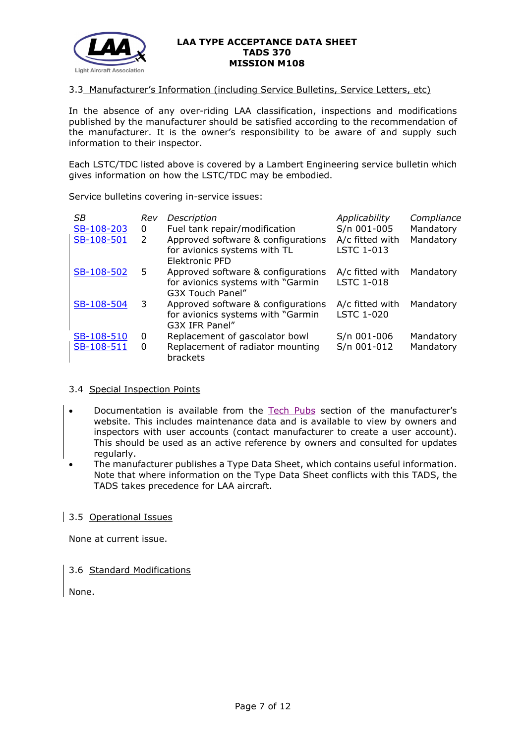

#### 3.3 Manufacturer's Information (including Service Bulletins, Service Letters, etc)

In the absence of any over-riding LAA classification, inspections and modifications published by the manufacturer should be satisfied according to the recommendation of the manufacturer. It is the owner's responsibility to be aware of and supply such information to their inspector.

Each LSTC/TDC listed above is covered by a Lambert Engineering service bulletin which gives information on how the LSTC/TDC may be embodied.

Service bulletins covering in-service issues:

| SB<br>SB-108-203 | Rev<br>0 | Description<br>Fuel tank repair/modification                                                | Applicability<br>S/n 001-005         | Compliance<br>Mandatory |
|------------------|----------|---------------------------------------------------------------------------------------------|--------------------------------------|-------------------------|
| SB-108-501       | 2        | Approved software & configurations<br>for avionics systems with TL<br><b>Elektronic PFD</b> | A/c fitted with<br>LSTC 1-013        | Mandatory               |
| SB-108-502       | 5        | Approved software & configurations<br>for avionics systems with "Garmin<br>G3X Touch Panel" | A/c fitted with<br><b>LSTC 1-018</b> | Mandatory               |
| SB-108-504       | 3        | Approved software & configurations<br>for avionics systems with "Garmin"<br>G3X IFR Panel"  | A/c fitted with<br><b>LSTC 1-020</b> | Mandatory               |
| SB-108-510       | 0        | Replacement of gascolator bowl                                                              | S/n 001-006                          | Mandatory               |
| SB-108-511       | 0        | Replacement of radiator mounting<br>brackets                                                | S/n 001-012                          | Mandatory               |

## 3.4 Special Inspection Points

- Documentation is available from the [Tech Pubs](http://airlambert.projex.be/index.php?p=indexbestuur) section of the manufacturer's website. This includes maintenance data and is available to view by owners and inspectors with user accounts (contact manufacturer to create a user account). This should be used as an active reference by owners and consulted for updates regularly.
- The manufacturer publishes a Type Data Sheet, which contains useful information. Note that where information on the Type Data Sheet conflicts with this TADS, the TADS takes precedence for LAA aircraft.

## 3.5 Operational Issues

None at current issue.

## 3.6 Standard Modifications

None.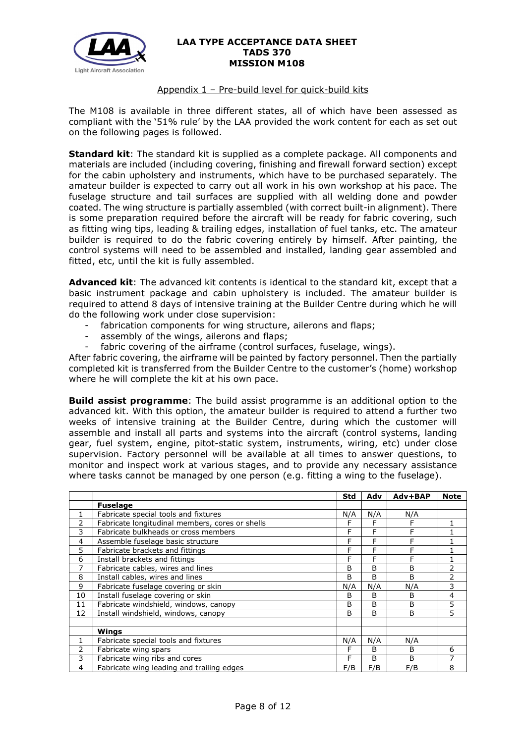

## Appendix 1 – Pre-build level for quick-build kits

The M108 is available in three different states, all of which have been assessed as compliant with the '51% rule' by the LAA provided the work content for each as set out on the following pages is followed.

**Standard kit**: The standard kit is supplied as a complete package. All components and materials are included (including covering, finishing and firewall forward section) except for the cabin upholstery and instruments, which have to be purchased separately. The amateur builder is expected to carry out all work in his own workshop at his pace. The fuselage structure and tail surfaces are supplied with all welding done and powder coated. The wing structure is partially assembled (with correct built-in alignment). There is some preparation required before the aircraft will be ready for fabric covering, such as fitting wing tips, leading & trailing edges, installation of fuel tanks, etc. The amateur builder is required to do the fabric covering entirely by himself. After painting, the control systems will need to be assembled and installed, landing gear assembled and fitted, etc, until the kit is fully assembled.

**Advanced kit**: The advanced kit contents is identical to the standard kit, except that a basic instrument package and cabin upholstery is included. The amateur builder is required to attend 8 days of intensive training at the Builder Centre during which he will do the following work under close supervision:

- fabrication components for wing structure, ailerons and flaps;
- assembly of the wings, ailerons and flaps;
- fabric covering of the airframe (control surfaces, fuselage, wings).

After fabric covering, the airframe will be painted by factory personnel. Then the partially completed kit is transferred from the Builder Centre to the customer's (home) workshop where he will complete the kit at his own pace.

**Build assist programme**: The build assist programme is an additional option to the advanced kit. With this option, the amateur builder is required to attend a further two weeks of intensive training at the Builder Centre, during which the customer will assemble and install all parts and systems into the aircraft (control systems, landing gear, fuel system, engine, pitot-static system, instruments, wiring, etc) under close supervision. Factory personnel will be available at all times to answer questions, to monitor and inspect work at various stages, and to provide any necessary assistance where tasks cannot be managed by one person (e.g. fitting a wing to the fuselage).

|                |                                                 | <b>Std</b> | Adv | Adv+BAP | <b>Note</b> |
|----------------|-------------------------------------------------|------------|-----|---------|-------------|
|                | <b>Fuselage</b>                                 |            |     |         |             |
| 1              | Fabricate special tools and fixtures            | N/A        | N/A | N/A     |             |
| 2              | Fabricate longitudinal members, cores or shells | F          | F   | F       |             |
| 3              | Fabricate bulkheads or cross members            | F          | F   | F       |             |
| $\overline{4}$ | Assemble fuselage basic structure               | F          | F   | F       |             |
| 5              | Fabricate brackets and fittings                 | F          | F   | F       |             |
| 6              | Install brackets and fittings                   | F          | F   | F       |             |
| 7              | Fabricate cables, wires and lines               | B          | B   | B       | 2           |
| 8              | Install cables, wires and lines                 | B          | B   | B       | 2           |
| 9              | Fabricate fuselage covering or skin             | N/A        | N/A | N/A     | 3           |
| 10             | Install fuselage covering or skin               | B          | В   | B       | 4           |
| 11             | Fabricate windshield, windows, canopy           | B          | B   | B       | 5           |
| 12             | Install windshield, windows, canopy             | B          | B   | B       | 5           |
|                |                                                 |            |     |         |             |
|                | Wings                                           |            |     |         |             |
| 1              | Fabricate special tools and fixtures            | N/A        | N/A | N/A     |             |
| 2              | Fabricate wing spars                            | F          | B   | B       | 6           |
| 3              | Fabricate wing ribs and cores                   | F          | B   | B       | 7           |
| 4              | Fabricate wing leading and trailing edges       | F/B        | F/B | F/B     | 8           |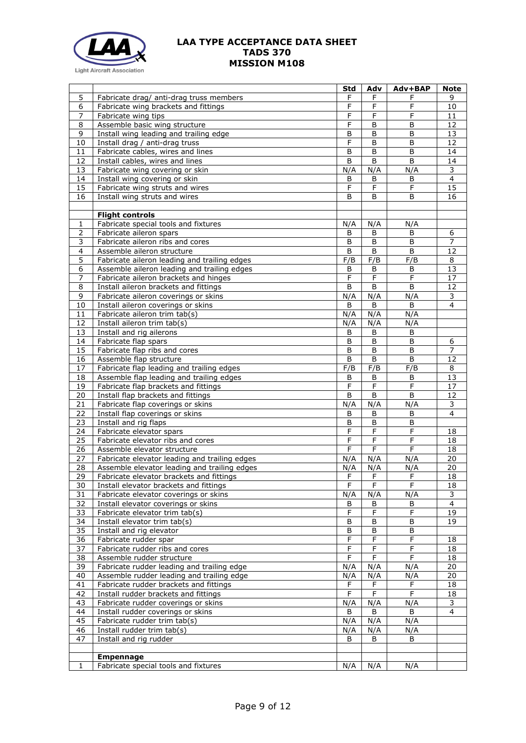

|                         |                                                                                         | Std                 | Adv                 | Adv+BAP             | Note            |
|-------------------------|-----------------------------------------------------------------------------------------|---------------------|---------------------|---------------------|-----------------|
| 5                       | Fabricate drag/ anti-drag truss members                                                 | F                   | F                   | F                   | 9               |
| 6                       | Fabricate wing brackets and fittings                                                    | $\mathsf F$         | F                   | F                   | 10              |
| $\overline{7}$          | Fabricate wing tips                                                                     | F                   | F                   | F                   | 11              |
| 8                       | Assemble basic wing structure                                                           | F                   | B                   | B                   | 12              |
| 9                       | Install wing leading and trailing edge                                                  | B                   | B                   | B                   | 13              |
| 10                      | Install drag / anti-drag truss                                                          | F                   | B                   | B                   | 12              |
| 11                      | Fabricate cables, wires and lines                                                       | B                   | B                   | B                   | 14              |
| 12                      | Install cables, wires and lines                                                         | B                   | B                   | B                   | 14              |
| 13                      | Fabricate wing covering or skin                                                         | N/A                 | N/A                 | N/A                 | 3               |
| 14                      | Install wing covering or skin                                                           | B                   | B                   | B                   | $\overline{4}$  |
| 15                      | Fabricate wing struts and wires                                                         | $\mathsf F$         | F                   | $\mathsf F$         | $\overline{15}$ |
| 16                      | Install wing struts and wires                                                           | B                   | B                   | B                   | 16              |
|                         |                                                                                         |                     |                     |                     |                 |
| 1                       | <b>Flight controls</b><br>Fabricate special tools and fixtures                          | N/A                 | N/A                 | N/A                 |                 |
| $\overline{2}$          | Fabricate aileron spars                                                                 | B                   | B                   | B                   | 6               |
| 3                       | Fabricate aileron ribs and cores                                                        | B                   | B                   | B                   | $\overline{7}$  |
| $\overline{\mathbf{4}}$ | Assemble aileron structure                                                              | B                   | B                   | B                   | 12              |
| $\overline{5}$          | Fabricate aileron leading and trailing edges                                            | F/B                 | F/B                 | F/B                 | 8               |
| 6                       | Assemble aileron leading and trailing edges                                             | B                   | B                   | B                   | $\overline{13}$ |
| 7                       | Fabricate aileron brackets and hinges                                                   | $\mathsf{F}$        | F                   | $\mathsf{F}$        | 17              |
| 8                       | Install aileron brackets and fittings                                                   | B                   | B                   | B                   | 12              |
| 9                       | Fabricate aileron coverings or skins                                                    | N/A                 | N/A                 | N/A                 | 3               |
| 10                      | Install aileron coverings or skins                                                      | B                   | B                   | B                   | $\overline{4}$  |
| 11                      | Fabricate aileron trim tab(s)                                                           | N/A                 | N/A                 | N/A                 |                 |
| 12                      | Install aileron trim tab(s)                                                             | N/A                 | N/A                 | N/A                 |                 |
| 13                      | Install and rig ailerons                                                                | B                   | B                   | B                   |                 |
| 14                      | Fabricate flap spars                                                                    | B                   | B                   | B                   | 6               |
| 15                      | Fabricate flap ribs and cores                                                           | B                   | B                   | B                   | 7               |
| 16                      | Assemble flap structure                                                                 | $\mathsf B$         | B                   | B                   | 12              |
| 17                      | Fabricate flap leading and trailing edges                                               | F/B                 | F/B                 | F/B                 | 8               |
| 18                      | Assemble flap leading and trailing edges                                                | B                   | B                   | B                   | 13              |
| 19                      | Fabricate flap brackets and fittings                                                    | $\overline{F}$      | $\overline{F}$      | $\mathsf F$         | $\overline{17}$ |
| 20                      | Install flap brackets and fittings                                                      | B                   | B                   | B                   | $\overline{12}$ |
| 21                      | Fabricate flap coverings or skins                                                       | N/A                 | N/A                 | N/A                 | 3               |
| 22                      | Install flap coverings or skins                                                         | В                   | B                   | B                   | $\overline{4}$  |
| 23                      | Install and rig flaps                                                                   | B                   | B                   | B                   |                 |
| $\overline{24}$         | Fabricate elevator spars                                                                | $\overline{F}$      | F                   | F                   | 18              |
| 25                      | Fabricate elevator ribs and cores                                                       | F                   | F                   | F                   | 18              |
| 26                      | Assemble elevator structure                                                             | F                   | F                   | F                   | 18              |
| 27                      | Fabricate elevator leading and trailing edges                                           | N/A                 | N/A                 | N/A                 | $\overline{20}$ |
| 28                      | Assemble elevator leading and trailing edges                                            | N/A                 | N/A                 | N/A                 | 20              |
| 29                      | Fabricate elevator brackets and fittings                                                | F                   | F                   | F                   | 18              |
| 30                      | Install elevator brackets and fittings                                                  | F                   | F                   | F                   | 18              |
| 31                      | Fabricate elevator coverings or skins                                                   | N/A                 | N/A                 | N/A                 | 3               |
| 32                      | Install elevator coverings or skins                                                     | В                   | B                   | В                   | 4               |
| 33                      | Fabricate elevator trim tab(s)                                                          | $\overline{F}$      | $\overline{F}$      | $\mathsf F$         | 19              |
| 34                      | Install elevator trim tab(s)                                                            | B                   | B                   | B                   | 19              |
| 35                      | Install and rig elevator                                                                | B                   | B                   | В                   |                 |
| 36<br>37                | Fabricate rudder spar                                                                   | F<br>$\overline{F}$ | F<br>$\overline{F}$ | F<br>$\overline{F}$ | 18              |
|                         | Fabricate rudder ribs and cores                                                         |                     |                     |                     | 18              |
| 38                      | Assemble rudder structure                                                               | F                   | F                   | F                   | 18              |
| 39<br>40                | Fabricate rudder leading and trailing edge<br>Assemble rudder leading and trailing edge | N/A                 | N/A<br>N/A          | N/A<br>N/A          | 20<br>20        |
| 41                      | Fabricate rudder brackets and fittings                                                  | N/A<br>F            | $\overline{F}$      | F                   | 18              |
| 42                      | Install rudder brackets and fittings                                                    | F                   | F                   | F                   | 18              |
| 43                      | Fabricate rudder coverings or skins                                                     | N/A                 | N/A                 | N/A                 | 3               |
| 44                      | Install rudder coverings or skins                                                       | B                   | B                   | B                   | $\overline{4}$  |
| 45                      | Fabricate rudder trim tab(s)                                                            | N/A                 | N/A                 | N/A                 |                 |
| 46                      | Install rudder trim tab(s)                                                              | N/A                 | N/A                 | N/A                 |                 |
| 47                      | Install and rig rudder                                                                  | B                   | B                   | B                   |                 |
|                         |                                                                                         |                     |                     |                     |                 |
|                         | <b>Empennage</b>                                                                        |                     |                     |                     |                 |
| 1                       | Fabricate special tools and fixtures                                                    | N/A                 | N/A                 | N/A                 |                 |
|                         |                                                                                         |                     |                     |                     |                 |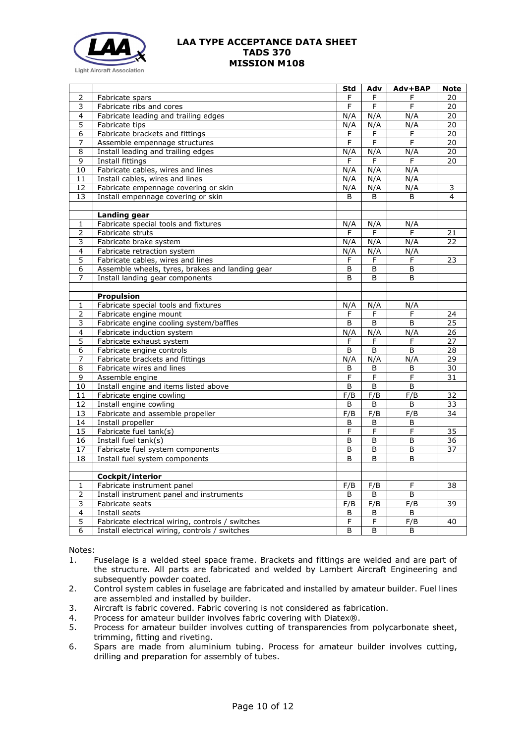

| 2<br>F<br>F<br>20<br>Fabricate spars<br>F<br>F<br>F<br>3<br>Fabricate ribs and cores<br>F<br>20<br>N/A<br>N/A<br>4<br>Fabricate leading and trailing edges<br>N/A<br>20<br>$\overline{5}$<br>$\overline{20}$<br>Fabricate tips<br>N/A<br>N/A<br>N/A<br>Fabricate brackets and fittings<br>$\overline{20}$<br>$\overline{6}$<br>F<br>F<br>F<br>F<br>20<br>7<br>Assemble empennage structures<br>F<br>F<br>N/A<br>N/A<br>N/A<br>$\overline{20}$<br>8<br>Install leading and trailing edges<br>9<br>Install fittings<br>F<br>F<br>20<br>F<br>N/A<br>10<br>Fabricate cables, wires and lines<br>N/A<br>N/A<br>N/A<br>N/A<br>11<br>Install cables, wires and lines<br>N/A<br>$\overline{12}$<br>N/A<br>N/A<br>N/A<br>3<br>Fabricate empennage covering or skin<br>13<br>Install empennage covering or skin<br>B<br>B<br>B<br>4<br><b>Landing gear</b><br>Fabricate special tools and fixtures<br>N/A<br>N/A<br>N/A<br>$\mathbf{1}$<br>2<br>F<br>F<br>F<br>Fabricate struts<br>21<br>Fabricate brake system<br>N/A<br>N/A<br>3<br>N/A<br>22<br>4<br>Fabricate retraction system<br>N/A<br>N/A<br>N/A<br>5<br>Fabricate cables, wires and lines<br>F<br>F<br>F<br>23<br>Assemble wheels, tyres, brakes and landing gear<br>B<br>6<br>B<br>B<br>Install landing gear components<br>7<br>B<br>B<br>B<br><b>Propulsion</b><br>Fabricate special tools and fixtures<br>N/A<br>N/A<br>N/A<br>1<br>2<br>Fabricate engine mount<br>F<br>F<br>F<br>24<br>25<br>3<br>Fabricate engine cooling system/baffles<br>B<br>B<br>B<br>4<br>Fabricate induction system<br>N/A<br>N/A<br>N/A<br>26<br>5<br>27<br>Fabricate exhaust system<br>F<br>F<br>F<br>$\overline{6}$<br>28<br>Fabricate engine controls<br>B<br>B<br>B<br>N/A<br>N/A<br>N/A<br>29<br>7<br>Fabricate brackets and fittings<br>8<br>30<br>Fabricate wires and lines<br>B<br>В<br>B<br>9<br>Assemble engine<br>F<br>F<br>F<br>31<br>10<br>Install engine and items listed above<br>B<br>B<br>B<br>F/B<br>F/B<br>F/B<br>32<br>11<br>Fabricate engine cowling<br>12<br>Install engine cowling<br>B<br>B<br>B<br>33<br>F/B<br>Fabricate and assemble propeller<br>F/B<br>F/B<br>13<br>34<br>14<br>Install propeller<br>B<br>B<br>B<br>F<br>F<br>F<br>15<br>Fabricate fuel tank(s)<br>35<br>Install fuel tank(s)<br>16<br>B<br>B<br>B<br>36<br>Fabricate fuel system components<br>17<br>B<br>B<br>B<br>37<br>18<br>Install fuel system components<br>B<br>B<br>B<br>Cockpit/interior<br>F/B<br>$\mathbf{1}$<br>Fabricate instrument panel<br>F/B<br>F<br>38<br>$\overline{2}$<br>B<br>B<br>Install instrument panel and instruments<br>B<br>3<br>Fabricate seats<br>F/B<br>F/B<br>F/B<br>39<br>4<br>Install seats<br>B<br>В<br>В<br>$\overline{5}$<br>F<br>$\overline{F}$<br>F/B<br>40<br>Fabricate electrical wiring, controls / switches<br>6<br>B<br>B<br>В |                                                | Std | Adv | Adv+BAP | <b>Note</b> |
|-------------------------------------------------------------------------------------------------------------------------------------------------------------------------------------------------------------------------------------------------------------------------------------------------------------------------------------------------------------------------------------------------------------------------------------------------------------------------------------------------------------------------------------------------------------------------------------------------------------------------------------------------------------------------------------------------------------------------------------------------------------------------------------------------------------------------------------------------------------------------------------------------------------------------------------------------------------------------------------------------------------------------------------------------------------------------------------------------------------------------------------------------------------------------------------------------------------------------------------------------------------------------------------------------------------------------------------------------------------------------------------------------------------------------------------------------------------------------------------------------------------------------------------------------------------------------------------------------------------------------------------------------------------------------------------------------------------------------------------------------------------------------------------------------------------------------------------------------------------------------------------------------------------------------------------------------------------------------------------------------------------------------------------------------------------------------------------------------------------------------------------------------------------------------------------------------------------------------------------------------------------------------------------------------------------------------------------------------------------------------------------------------------------------------------------------------------------------------------------------------------------------------------------------------------------------------------------------------------------------------------------------------------------------------------------------------------------------------------------------------------------------------------------------------------|------------------------------------------------|-----|-----|---------|-------------|
|                                                                                                                                                                                                                                                                                                                                                                                                                                                                                                                                                                                                                                                                                                                                                                                                                                                                                                                                                                                                                                                                                                                                                                                                                                                                                                                                                                                                                                                                                                                                                                                                                                                                                                                                                                                                                                                                                                                                                                                                                                                                                                                                                                                                                                                                                                                                                                                                                                                                                                                                                                                                                                                                                                                                                                                                       |                                                |     |     |         |             |
|                                                                                                                                                                                                                                                                                                                                                                                                                                                                                                                                                                                                                                                                                                                                                                                                                                                                                                                                                                                                                                                                                                                                                                                                                                                                                                                                                                                                                                                                                                                                                                                                                                                                                                                                                                                                                                                                                                                                                                                                                                                                                                                                                                                                                                                                                                                                                                                                                                                                                                                                                                                                                                                                                                                                                                                                       |                                                |     |     |         |             |
|                                                                                                                                                                                                                                                                                                                                                                                                                                                                                                                                                                                                                                                                                                                                                                                                                                                                                                                                                                                                                                                                                                                                                                                                                                                                                                                                                                                                                                                                                                                                                                                                                                                                                                                                                                                                                                                                                                                                                                                                                                                                                                                                                                                                                                                                                                                                                                                                                                                                                                                                                                                                                                                                                                                                                                                                       |                                                |     |     |         |             |
|                                                                                                                                                                                                                                                                                                                                                                                                                                                                                                                                                                                                                                                                                                                                                                                                                                                                                                                                                                                                                                                                                                                                                                                                                                                                                                                                                                                                                                                                                                                                                                                                                                                                                                                                                                                                                                                                                                                                                                                                                                                                                                                                                                                                                                                                                                                                                                                                                                                                                                                                                                                                                                                                                                                                                                                                       |                                                |     |     |         |             |
|                                                                                                                                                                                                                                                                                                                                                                                                                                                                                                                                                                                                                                                                                                                                                                                                                                                                                                                                                                                                                                                                                                                                                                                                                                                                                                                                                                                                                                                                                                                                                                                                                                                                                                                                                                                                                                                                                                                                                                                                                                                                                                                                                                                                                                                                                                                                                                                                                                                                                                                                                                                                                                                                                                                                                                                                       |                                                |     |     |         |             |
|                                                                                                                                                                                                                                                                                                                                                                                                                                                                                                                                                                                                                                                                                                                                                                                                                                                                                                                                                                                                                                                                                                                                                                                                                                                                                                                                                                                                                                                                                                                                                                                                                                                                                                                                                                                                                                                                                                                                                                                                                                                                                                                                                                                                                                                                                                                                                                                                                                                                                                                                                                                                                                                                                                                                                                                                       |                                                |     |     |         |             |
|                                                                                                                                                                                                                                                                                                                                                                                                                                                                                                                                                                                                                                                                                                                                                                                                                                                                                                                                                                                                                                                                                                                                                                                                                                                                                                                                                                                                                                                                                                                                                                                                                                                                                                                                                                                                                                                                                                                                                                                                                                                                                                                                                                                                                                                                                                                                                                                                                                                                                                                                                                                                                                                                                                                                                                                                       |                                                |     |     |         |             |
|                                                                                                                                                                                                                                                                                                                                                                                                                                                                                                                                                                                                                                                                                                                                                                                                                                                                                                                                                                                                                                                                                                                                                                                                                                                                                                                                                                                                                                                                                                                                                                                                                                                                                                                                                                                                                                                                                                                                                                                                                                                                                                                                                                                                                                                                                                                                                                                                                                                                                                                                                                                                                                                                                                                                                                                                       |                                                |     |     |         |             |
|                                                                                                                                                                                                                                                                                                                                                                                                                                                                                                                                                                                                                                                                                                                                                                                                                                                                                                                                                                                                                                                                                                                                                                                                                                                                                                                                                                                                                                                                                                                                                                                                                                                                                                                                                                                                                                                                                                                                                                                                                                                                                                                                                                                                                                                                                                                                                                                                                                                                                                                                                                                                                                                                                                                                                                                                       |                                                |     |     |         |             |
|                                                                                                                                                                                                                                                                                                                                                                                                                                                                                                                                                                                                                                                                                                                                                                                                                                                                                                                                                                                                                                                                                                                                                                                                                                                                                                                                                                                                                                                                                                                                                                                                                                                                                                                                                                                                                                                                                                                                                                                                                                                                                                                                                                                                                                                                                                                                                                                                                                                                                                                                                                                                                                                                                                                                                                                                       |                                                |     |     |         |             |
|                                                                                                                                                                                                                                                                                                                                                                                                                                                                                                                                                                                                                                                                                                                                                                                                                                                                                                                                                                                                                                                                                                                                                                                                                                                                                                                                                                                                                                                                                                                                                                                                                                                                                                                                                                                                                                                                                                                                                                                                                                                                                                                                                                                                                                                                                                                                                                                                                                                                                                                                                                                                                                                                                                                                                                                                       |                                                |     |     |         |             |
|                                                                                                                                                                                                                                                                                                                                                                                                                                                                                                                                                                                                                                                                                                                                                                                                                                                                                                                                                                                                                                                                                                                                                                                                                                                                                                                                                                                                                                                                                                                                                                                                                                                                                                                                                                                                                                                                                                                                                                                                                                                                                                                                                                                                                                                                                                                                                                                                                                                                                                                                                                                                                                                                                                                                                                                                       |                                                |     |     |         |             |
|                                                                                                                                                                                                                                                                                                                                                                                                                                                                                                                                                                                                                                                                                                                                                                                                                                                                                                                                                                                                                                                                                                                                                                                                                                                                                                                                                                                                                                                                                                                                                                                                                                                                                                                                                                                                                                                                                                                                                                                                                                                                                                                                                                                                                                                                                                                                                                                                                                                                                                                                                                                                                                                                                                                                                                                                       |                                                |     |     |         |             |
|                                                                                                                                                                                                                                                                                                                                                                                                                                                                                                                                                                                                                                                                                                                                                                                                                                                                                                                                                                                                                                                                                                                                                                                                                                                                                                                                                                                                                                                                                                                                                                                                                                                                                                                                                                                                                                                                                                                                                                                                                                                                                                                                                                                                                                                                                                                                                                                                                                                                                                                                                                                                                                                                                                                                                                                                       |                                                |     |     |         |             |
|                                                                                                                                                                                                                                                                                                                                                                                                                                                                                                                                                                                                                                                                                                                                                                                                                                                                                                                                                                                                                                                                                                                                                                                                                                                                                                                                                                                                                                                                                                                                                                                                                                                                                                                                                                                                                                                                                                                                                                                                                                                                                                                                                                                                                                                                                                                                                                                                                                                                                                                                                                                                                                                                                                                                                                                                       |                                                |     |     |         |             |
|                                                                                                                                                                                                                                                                                                                                                                                                                                                                                                                                                                                                                                                                                                                                                                                                                                                                                                                                                                                                                                                                                                                                                                                                                                                                                                                                                                                                                                                                                                                                                                                                                                                                                                                                                                                                                                                                                                                                                                                                                                                                                                                                                                                                                                                                                                                                                                                                                                                                                                                                                                                                                                                                                                                                                                                                       |                                                |     |     |         |             |
|                                                                                                                                                                                                                                                                                                                                                                                                                                                                                                                                                                                                                                                                                                                                                                                                                                                                                                                                                                                                                                                                                                                                                                                                                                                                                                                                                                                                                                                                                                                                                                                                                                                                                                                                                                                                                                                                                                                                                                                                                                                                                                                                                                                                                                                                                                                                                                                                                                                                                                                                                                                                                                                                                                                                                                                                       |                                                |     |     |         |             |
|                                                                                                                                                                                                                                                                                                                                                                                                                                                                                                                                                                                                                                                                                                                                                                                                                                                                                                                                                                                                                                                                                                                                                                                                                                                                                                                                                                                                                                                                                                                                                                                                                                                                                                                                                                                                                                                                                                                                                                                                                                                                                                                                                                                                                                                                                                                                                                                                                                                                                                                                                                                                                                                                                                                                                                                                       |                                                |     |     |         |             |
|                                                                                                                                                                                                                                                                                                                                                                                                                                                                                                                                                                                                                                                                                                                                                                                                                                                                                                                                                                                                                                                                                                                                                                                                                                                                                                                                                                                                                                                                                                                                                                                                                                                                                                                                                                                                                                                                                                                                                                                                                                                                                                                                                                                                                                                                                                                                                                                                                                                                                                                                                                                                                                                                                                                                                                                                       |                                                |     |     |         |             |
|                                                                                                                                                                                                                                                                                                                                                                                                                                                                                                                                                                                                                                                                                                                                                                                                                                                                                                                                                                                                                                                                                                                                                                                                                                                                                                                                                                                                                                                                                                                                                                                                                                                                                                                                                                                                                                                                                                                                                                                                                                                                                                                                                                                                                                                                                                                                                                                                                                                                                                                                                                                                                                                                                                                                                                                                       |                                                |     |     |         |             |
|                                                                                                                                                                                                                                                                                                                                                                                                                                                                                                                                                                                                                                                                                                                                                                                                                                                                                                                                                                                                                                                                                                                                                                                                                                                                                                                                                                                                                                                                                                                                                                                                                                                                                                                                                                                                                                                                                                                                                                                                                                                                                                                                                                                                                                                                                                                                                                                                                                                                                                                                                                                                                                                                                                                                                                                                       |                                                |     |     |         |             |
|                                                                                                                                                                                                                                                                                                                                                                                                                                                                                                                                                                                                                                                                                                                                                                                                                                                                                                                                                                                                                                                                                                                                                                                                                                                                                                                                                                                                                                                                                                                                                                                                                                                                                                                                                                                                                                                                                                                                                                                                                                                                                                                                                                                                                                                                                                                                                                                                                                                                                                                                                                                                                                                                                                                                                                                                       |                                                |     |     |         |             |
|                                                                                                                                                                                                                                                                                                                                                                                                                                                                                                                                                                                                                                                                                                                                                                                                                                                                                                                                                                                                                                                                                                                                                                                                                                                                                                                                                                                                                                                                                                                                                                                                                                                                                                                                                                                                                                                                                                                                                                                                                                                                                                                                                                                                                                                                                                                                                                                                                                                                                                                                                                                                                                                                                                                                                                                                       |                                                |     |     |         |             |
|                                                                                                                                                                                                                                                                                                                                                                                                                                                                                                                                                                                                                                                                                                                                                                                                                                                                                                                                                                                                                                                                                                                                                                                                                                                                                                                                                                                                                                                                                                                                                                                                                                                                                                                                                                                                                                                                                                                                                                                                                                                                                                                                                                                                                                                                                                                                                                                                                                                                                                                                                                                                                                                                                                                                                                                                       |                                                |     |     |         |             |
|                                                                                                                                                                                                                                                                                                                                                                                                                                                                                                                                                                                                                                                                                                                                                                                                                                                                                                                                                                                                                                                                                                                                                                                                                                                                                                                                                                                                                                                                                                                                                                                                                                                                                                                                                                                                                                                                                                                                                                                                                                                                                                                                                                                                                                                                                                                                                                                                                                                                                                                                                                                                                                                                                                                                                                                                       |                                                |     |     |         |             |
|                                                                                                                                                                                                                                                                                                                                                                                                                                                                                                                                                                                                                                                                                                                                                                                                                                                                                                                                                                                                                                                                                                                                                                                                                                                                                                                                                                                                                                                                                                                                                                                                                                                                                                                                                                                                                                                                                                                                                                                                                                                                                                                                                                                                                                                                                                                                                                                                                                                                                                                                                                                                                                                                                                                                                                                                       |                                                |     |     |         |             |
|                                                                                                                                                                                                                                                                                                                                                                                                                                                                                                                                                                                                                                                                                                                                                                                                                                                                                                                                                                                                                                                                                                                                                                                                                                                                                                                                                                                                                                                                                                                                                                                                                                                                                                                                                                                                                                                                                                                                                                                                                                                                                                                                                                                                                                                                                                                                                                                                                                                                                                                                                                                                                                                                                                                                                                                                       |                                                |     |     |         |             |
|                                                                                                                                                                                                                                                                                                                                                                                                                                                                                                                                                                                                                                                                                                                                                                                                                                                                                                                                                                                                                                                                                                                                                                                                                                                                                                                                                                                                                                                                                                                                                                                                                                                                                                                                                                                                                                                                                                                                                                                                                                                                                                                                                                                                                                                                                                                                                                                                                                                                                                                                                                                                                                                                                                                                                                                                       |                                                |     |     |         |             |
|                                                                                                                                                                                                                                                                                                                                                                                                                                                                                                                                                                                                                                                                                                                                                                                                                                                                                                                                                                                                                                                                                                                                                                                                                                                                                                                                                                                                                                                                                                                                                                                                                                                                                                                                                                                                                                                                                                                                                                                                                                                                                                                                                                                                                                                                                                                                                                                                                                                                                                                                                                                                                                                                                                                                                                                                       |                                                |     |     |         |             |
|                                                                                                                                                                                                                                                                                                                                                                                                                                                                                                                                                                                                                                                                                                                                                                                                                                                                                                                                                                                                                                                                                                                                                                                                                                                                                                                                                                                                                                                                                                                                                                                                                                                                                                                                                                                                                                                                                                                                                                                                                                                                                                                                                                                                                                                                                                                                                                                                                                                                                                                                                                                                                                                                                                                                                                                                       |                                                |     |     |         |             |
|                                                                                                                                                                                                                                                                                                                                                                                                                                                                                                                                                                                                                                                                                                                                                                                                                                                                                                                                                                                                                                                                                                                                                                                                                                                                                                                                                                                                                                                                                                                                                                                                                                                                                                                                                                                                                                                                                                                                                                                                                                                                                                                                                                                                                                                                                                                                                                                                                                                                                                                                                                                                                                                                                                                                                                                                       |                                                |     |     |         |             |
|                                                                                                                                                                                                                                                                                                                                                                                                                                                                                                                                                                                                                                                                                                                                                                                                                                                                                                                                                                                                                                                                                                                                                                                                                                                                                                                                                                                                                                                                                                                                                                                                                                                                                                                                                                                                                                                                                                                                                                                                                                                                                                                                                                                                                                                                                                                                                                                                                                                                                                                                                                                                                                                                                                                                                                                                       |                                                |     |     |         |             |
|                                                                                                                                                                                                                                                                                                                                                                                                                                                                                                                                                                                                                                                                                                                                                                                                                                                                                                                                                                                                                                                                                                                                                                                                                                                                                                                                                                                                                                                                                                                                                                                                                                                                                                                                                                                                                                                                                                                                                                                                                                                                                                                                                                                                                                                                                                                                                                                                                                                                                                                                                                                                                                                                                                                                                                                                       |                                                |     |     |         |             |
|                                                                                                                                                                                                                                                                                                                                                                                                                                                                                                                                                                                                                                                                                                                                                                                                                                                                                                                                                                                                                                                                                                                                                                                                                                                                                                                                                                                                                                                                                                                                                                                                                                                                                                                                                                                                                                                                                                                                                                                                                                                                                                                                                                                                                                                                                                                                                                                                                                                                                                                                                                                                                                                                                                                                                                                                       |                                                |     |     |         |             |
|                                                                                                                                                                                                                                                                                                                                                                                                                                                                                                                                                                                                                                                                                                                                                                                                                                                                                                                                                                                                                                                                                                                                                                                                                                                                                                                                                                                                                                                                                                                                                                                                                                                                                                                                                                                                                                                                                                                                                                                                                                                                                                                                                                                                                                                                                                                                                                                                                                                                                                                                                                                                                                                                                                                                                                                                       |                                                |     |     |         |             |
|                                                                                                                                                                                                                                                                                                                                                                                                                                                                                                                                                                                                                                                                                                                                                                                                                                                                                                                                                                                                                                                                                                                                                                                                                                                                                                                                                                                                                                                                                                                                                                                                                                                                                                                                                                                                                                                                                                                                                                                                                                                                                                                                                                                                                                                                                                                                                                                                                                                                                                                                                                                                                                                                                                                                                                                                       |                                                |     |     |         |             |
|                                                                                                                                                                                                                                                                                                                                                                                                                                                                                                                                                                                                                                                                                                                                                                                                                                                                                                                                                                                                                                                                                                                                                                                                                                                                                                                                                                                                                                                                                                                                                                                                                                                                                                                                                                                                                                                                                                                                                                                                                                                                                                                                                                                                                                                                                                                                                                                                                                                                                                                                                                                                                                                                                                                                                                                                       |                                                |     |     |         |             |
|                                                                                                                                                                                                                                                                                                                                                                                                                                                                                                                                                                                                                                                                                                                                                                                                                                                                                                                                                                                                                                                                                                                                                                                                                                                                                                                                                                                                                                                                                                                                                                                                                                                                                                                                                                                                                                                                                                                                                                                                                                                                                                                                                                                                                                                                                                                                                                                                                                                                                                                                                                                                                                                                                                                                                                                                       |                                                |     |     |         |             |
|                                                                                                                                                                                                                                                                                                                                                                                                                                                                                                                                                                                                                                                                                                                                                                                                                                                                                                                                                                                                                                                                                                                                                                                                                                                                                                                                                                                                                                                                                                                                                                                                                                                                                                                                                                                                                                                                                                                                                                                                                                                                                                                                                                                                                                                                                                                                                                                                                                                                                                                                                                                                                                                                                                                                                                                                       |                                                |     |     |         |             |
|                                                                                                                                                                                                                                                                                                                                                                                                                                                                                                                                                                                                                                                                                                                                                                                                                                                                                                                                                                                                                                                                                                                                                                                                                                                                                                                                                                                                                                                                                                                                                                                                                                                                                                                                                                                                                                                                                                                                                                                                                                                                                                                                                                                                                                                                                                                                                                                                                                                                                                                                                                                                                                                                                                                                                                                                       |                                                |     |     |         |             |
|                                                                                                                                                                                                                                                                                                                                                                                                                                                                                                                                                                                                                                                                                                                                                                                                                                                                                                                                                                                                                                                                                                                                                                                                                                                                                                                                                                                                                                                                                                                                                                                                                                                                                                                                                                                                                                                                                                                                                                                                                                                                                                                                                                                                                                                                                                                                                                                                                                                                                                                                                                                                                                                                                                                                                                                                       |                                                |     |     |         |             |
|                                                                                                                                                                                                                                                                                                                                                                                                                                                                                                                                                                                                                                                                                                                                                                                                                                                                                                                                                                                                                                                                                                                                                                                                                                                                                                                                                                                                                                                                                                                                                                                                                                                                                                                                                                                                                                                                                                                                                                                                                                                                                                                                                                                                                                                                                                                                                                                                                                                                                                                                                                                                                                                                                                                                                                                                       |                                                |     |     |         |             |
|                                                                                                                                                                                                                                                                                                                                                                                                                                                                                                                                                                                                                                                                                                                                                                                                                                                                                                                                                                                                                                                                                                                                                                                                                                                                                                                                                                                                                                                                                                                                                                                                                                                                                                                                                                                                                                                                                                                                                                                                                                                                                                                                                                                                                                                                                                                                                                                                                                                                                                                                                                                                                                                                                                                                                                                                       |                                                |     |     |         |             |
|                                                                                                                                                                                                                                                                                                                                                                                                                                                                                                                                                                                                                                                                                                                                                                                                                                                                                                                                                                                                                                                                                                                                                                                                                                                                                                                                                                                                                                                                                                                                                                                                                                                                                                                                                                                                                                                                                                                                                                                                                                                                                                                                                                                                                                                                                                                                                                                                                                                                                                                                                                                                                                                                                                                                                                                                       |                                                |     |     |         |             |
|                                                                                                                                                                                                                                                                                                                                                                                                                                                                                                                                                                                                                                                                                                                                                                                                                                                                                                                                                                                                                                                                                                                                                                                                                                                                                                                                                                                                                                                                                                                                                                                                                                                                                                                                                                                                                                                                                                                                                                                                                                                                                                                                                                                                                                                                                                                                                                                                                                                                                                                                                                                                                                                                                                                                                                                                       |                                                |     |     |         |             |
|                                                                                                                                                                                                                                                                                                                                                                                                                                                                                                                                                                                                                                                                                                                                                                                                                                                                                                                                                                                                                                                                                                                                                                                                                                                                                                                                                                                                                                                                                                                                                                                                                                                                                                                                                                                                                                                                                                                                                                                                                                                                                                                                                                                                                                                                                                                                                                                                                                                                                                                                                                                                                                                                                                                                                                                                       |                                                |     |     |         |             |
|                                                                                                                                                                                                                                                                                                                                                                                                                                                                                                                                                                                                                                                                                                                                                                                                                                                                                                                                                                                                                                                                                                                                                                                                                                                                                                                                                                                                                                                                                                                                                                                                                                                                                                                                                                                                                                                                                                                                                                                                                                                                                                                                                                                                                                                                                                                                                                                                                                                                                                                                                                                                                                                                                                                                                                                                       |                                                |     |     |         |             |
|                                                                                                                                                                                                                                                                                                                                                                                                                                                                                                                                                                                                                                                                                                                                                                                                                                                                                                                                                                                                                                                                                                                                                                                                                                                                                                                                                                                                                                                                                                                                                                                                                                                                                                                                                                                                                                                                                                                                                                                                                                                                                                                                                                                                                                                                                                                                                                                                                                                                                                                                                                                                                                                                                                                                                                                                       | Install electrical wiring, controls / switches |     |     |         |             |

Notes:

- 1. Fuselage is a welded steel space frame. Brackets and fittings are welded and are part of the structure. All parts are fabricated and welded by Lambert Aircraft Engineering and subsequently powder coated.
- 2. Control system cables in fuselage are fabricated and installed by amateur builder. Fuel lines are assembled and installed by builder.
- 3. Aircraft is fabric covered. Fabric covering is not considered as fabrication.<br>4. Process for amateur builder involves fabric covering with Diatex®.
- 4. Process for amateur builder involves fabric covering with Diatex®.<br>5. Process for amateur builder involves cutting of transparencies from
- Process for amateur builder involves cutting of transparencies from polycarbonate sheet, trimming, fitting and riveting.
- 6. Spars are made from aluminium tubing. Process for amateur builder involves cutting, drilling and preparation for assembly of tubes.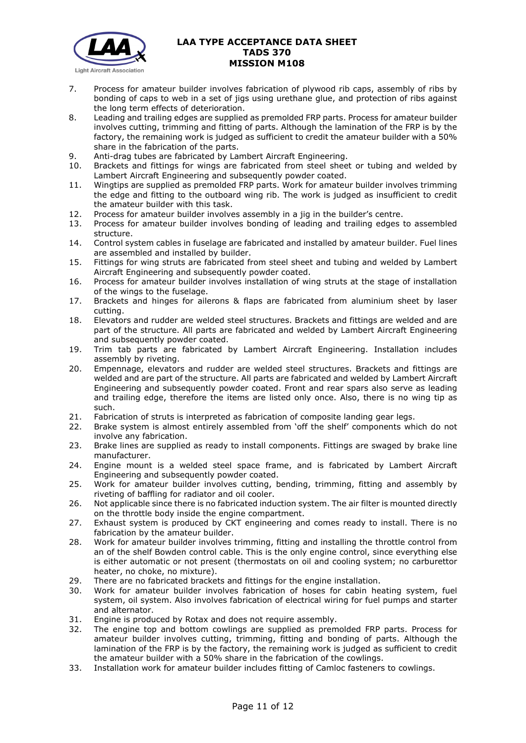

- 7. Process for amateur builder involves fabrication of plywood rib caps, assembly of ribs by bonding of caps to web in a set of jigs using urethane glue, and protection of ribs against the long term effects of deterioration.
- 8. Leading and trailing edges are supplied as premolded FRP parts. Process for amateur builder involves cutting, trimming and fitting of parts. Although the lamination of the FRP is by the factory, the remaining work is judged as sufficient to credit the amateur builder with a 50% share in the fabrication of the parts.
- 9. Anti-drag tubes are fabricated by Lambert Aircraft Engineering.
- 10. Brackets and fittings for wings are fabricated from steel sheet or tubing and welded by Lambert Aircraft Engineering and subsequently powder coated.
- 11. Wingtips are supplied as premolded FRP parts. Work for amateur builder involves trimming the edge and fitting to the outboard wing rib. The work is judged as insufficient to credit the amateur builder with this task.
- 12. Process for amateur builder involves assembly in a jig in the builder's centre.
- 13. Process for amateur builder involves bonding of leading and trailing edges to assembled structure.
- 14. Control system cables in fuselage are fabricated and installed by amateur builder. Fuel lines are assembled and installed by builder.
- 15. Fittings for wing struts are fabricated from steel sheet and tubing and welded by Lambert Aircraft Engineering and subsequently powder coated.
- 16. Process for amateur builder involves installation of wing struts at the stage of installation of the wings to the fuselage.
- 17. Brackets and hinges for ailerons & flaps are fabricated from aluminium sheet by laser cutting.
- 18. Elevators and rudder are welded steel structures. Brackets and fittings are welded and are part of the structure. All parts are fabricated and welded by Lambert Aircraft Engineering and subsequently powder coated.
- 19. Trim tab parts are fabricated by Lambert Aircraft Engineering. Installation includes assembly by riveting.
- 20. Empennage, elevators and rudder are welded steel structures. Brackets and fittings are welded and are part of the structure. All parts are fabricated and welded by Lambert Aircraft Engineering and subsequently powder coated. Front and rear spars also serve as leading and trailing edge, therefore the items are listed only once. Also, there is no wing tip as such.
- 21. Fabrication of struts is interpreted as fabrication of composite landing gear legs.
- 22. Brake system is almost entirely assembled from 'off the shelf' components which do not involve any fabrication.
- 23. Brake lines are supplied as ready to install components. Fittings are swaged by brake line manufacturer.
- 24. Engine mount is a welded steel space frame, and is fabricated by Lambert Aircraft Engineering and subsequently powder coated.
- 25. Work for amateur builder involves cutting, bending, trimming, fitting and assembly by riveting of baffling for radiator and oil cooler.
- 26. Not applicable since there is no fabricated induction system. The air filter is mounted directly on the throttle body inside the engine compartment.
- 27. Exhaust system is produced by CKT engineering and comes ready to install. There is no fabrication by the amateur builder.
- 28. Work for amateur builder involves trimming, fitting and installing the throttle control from an of the shelf Bowden control cable. This is the only engine control, since everything else is either automatic or not present (thermostats on oil and cooling system; no carburettor heater, no choke, no mixture).
- 29. There are no fabricated brackets and fittings for the engine installation.
- 30. Work for amateur builder involves fabrication of hoses for cabin heating system, fuel system, oil system. Also involves fabrication of electrical wiring for fuel pumps and starter and alternator.
- 31. Engine is produced by Rotax and does not require assembly.
- 32. The engine top and bottom cowlings are supplied as premolded FRP parts. Process for amateur builder involves cutting, trimming, fitting and bonding of parts. Although the lamination of the FRP is by the factory, the remaining work is judged as sufficient to credit the amateur builder with a 50% share in the fabrication of the cowlings.
- 33. Installation work for amateur builder includes fitting of Camloc fasteners to cowlings.